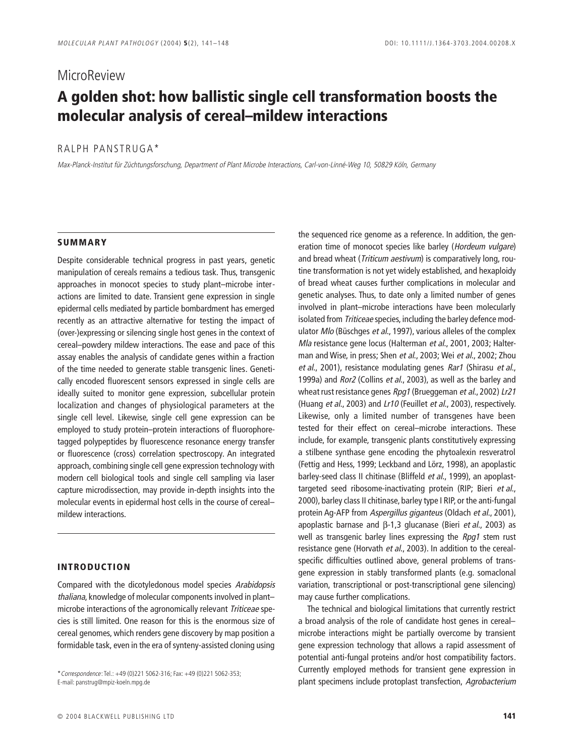# **MicroReview** A golden shot: how ballistic single cell transformation boosts the **molecular analysis of cereal–mildew interactions**

## RALPH PANSTRUGA\*

Max-Planck-Institut für Züchtungsforschung, Department of Plant Microbe Interactions, Carl-von-Linné-Weg 10, 50829 Köln, Germany

## **SUMMARY**

Despite considerable technical progress in past years, genetic manipulation of cereals remains a tedious task. Thus, transgenic approaches in monocot species to study plant–microbe interactions are limited to date. Transient gene expression in single epidermal cells mediated by particle bombardment has emerged recently as an attractive alternative for testing the impact of (over-)expressing or silencing single host genes in the context of cereal–powdery mildew interactions. The ease and pace of this assay enables the analysis of candidate genes within a fraction of the time needed to generate stable transgenic lines. Genetically encoded fluorescent sensors expressed in single cells are ideally suited to monitor gene expression, subcellular protein localization and changes of physiological parameters at the single cell level. Likewise, single cell gene expression can be employed to study protein–protein interactions of fluorophoretagged polypeptides by fluorescence resonance energy transfer or fluorescence (cross) correlation spectroscopy. An integrated approach, combining single cell gene expression technology with modern cell biological tools and single cell sampling via laser capture microdissection, may provide in-depth insights into the molecular events in epidermal host cells in the course of cereal– mildew interactions.

### **INTRODUCTION**

Compared with the dicotyledonous model species Arabidopsis thaliana, knowledge of molecular components involved in plant– microbe interactions of the agronomically relevant Triticeae species is still limited. One reason for this is the enormous size of cereal genomes, which renders gene discovery by map position a formidable task, even in the era of synteny-assisted cloning using

E-mail: panstrug@mpiz-koeln.mpg.de

the sequenced rice genome as a reference. In addition, the generation time of monocot species like barley (Hordeum vulgare) and bread wheat (Triticum aestivum) is comparatively long, routine transformation is not yet widely established, and hexaploidy of bread wheat causes further complications in molecular and genetic analyses. Thus, to date only a limited number of genes involved in plant–microbe interactions have been molecularly isolated from Triticeae species, including the barley defence modulator Mlo (Büschges et al., 1997), various alleles of the complex Mla resistance gene locus (Halterman et al., 2001, 2003; Halterman and Wise, in press; Shen et al., 2003; Wei et al., 2002; Zhou et al., 2001), resistance modulating genes Rar1 (Shirasu et al., 1999a) and Ror2 (Collins et al., 2003), as well as the barley and wheat rust resistance genes Rpg1 (Brueggeman et al., 2002) Lr21 (Huang et al., 2003) and Lr10 (Feuillet et al., 2003), respectively. Likewise, only a limited number of transgenes have been tested for their effect on cereal–microbe interactions. These include, for example, transgenic plants constitutively expressing a stilbene synthase gene encoding the phytoalexin resveratrol (Fettig and Hess, 1999; Leckband and Lörz, 1998), an apoplastic barley-seed class II chitinase (Bliffeld et al., 1999), an apoplasttargeted seed ribosome-inactivating protein (RIP; Bieri et al., 2000), barley class II chitinase, barley type I RIP, or the anti-fungal protein Ag-AFP from Aspergillus giganteus (Oldach et al., 2001), apoplastic barnase and β-1,3 glucanase (Bieri et al., 2003) as well as transgenic barley lines expressing the Rpg1 stem rust resistance gene (Horvath et al., 2003). In addition to the cerealspecific difficulties outlined above, general problems of transgene expression in stably transformed plants (e.g. somaclonal variation, transcriptional or post-transcriptional gene silencing) may cause further complications.

The technical and biological limitations that currently restrict a broad analysis of the role of candidate host genes in cereal– microbe interactions might be partially overcome by transient gene expression technology that allows a rapid assessment of potential anti-fungal proteins and/or host compatibility factors. Currently employed methods for transient gene expression in torrespondence: Tel.: +49 (0)221 5062-316; Fax: +49 (0)221 5062-353;<br>E-mail: panstrug@mpiz-koeln.mpg.de<br>E-mail: panstrug@mpiz-koeln.mpg.de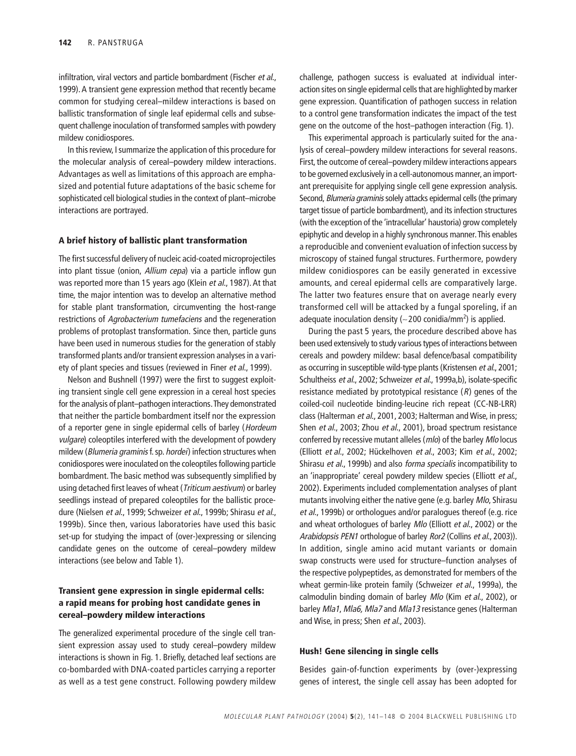infiltration, viral vectors and particle bombardment (Fischer et al., 1999). A transient gene expression method that recently became common for studying cereal–mildew interactions is based on ballistic transformation of single leaf epidermal cells and subsequent challenge inoculation of transformed samples with powdery mildew conidiospores.

In this review, I summarize the application of this procedure for the molecular analysis of cereal–powdery mildew interactions. Advantages as well as limitations of this approach are emphasized and potential future adaptations of the basic scheme for sophisticated cell biological studies in the context of plant–microbe interactions are portrayed.

#### **A brief history of ballistic plant transformation**

The first successful delivery of nucleic acid-coated microprojectiles into plant tissue (onion, Allium cepa) via a particle inflow gun was reported more than 15 years ago (Klein et al., 1987). At that time, the major intention was to develop an alternative method for stable plant transformation, circumventing the host-range restrictions of Agrobacterium tumefaciens and the regeneration problems of protoplast transformation. Since then, particle guns have been used in numerous studies for the generation of stably transformed plants and/or transient expression analyses in a variety of plant species and tissues (reviewed in Finer et al., 1999).

Nelson and Bushnell (1997) were the first to suggest exploiting transient single cell gene expression in a cereal host species for the analysis of plant–pathogen interactions. They demonstrated that neither the particle bombardment itself nor the expression of a reporter gene in single epidermal cells of barley (Hordeum vulgare) coleoptiles interfered with the development of powdery mildew (Blumeria graminis f. sp. hordei) infection structures when conidiospores were inoculated on the coleoptiles following particle bombardment. The basic method was subsequently simplified by using detached first leaves of wheat (Triticum aestivum) or barley seedlings instead of prepared coleoptiles for the ballistic procedure (Nielsen et al., 1999; Schweizer et al., 1999b; Shirasu et al., 1999b). Since then, various laboratories have used this basic set-up for studying the impact of (over-)expressing or silencing candidate genes on the outcome of cereal–powdery mildew interactions (see below and Table 1).

## **Transient gene expression in single epidermal cells: a rapid means for probing host candidate genes in cereal–powdery mildew interactions**

The generalized experimental procedure of the single cell transient expression assay used to study cereal–powdery mildew interactions is shown in Fig. 1. Briefly, detached leaf sections are co-bombarded with DNA-coated particles carrying a reporter as well as a test gene construct. Following powdery mildew challenge, pathogen success is evaluated at individual interaction sites on single epidermal cells that are highlighted by marker gene expression. Quantification of pathogen success in relation to a control gene transformation indicates the impact of the test gene on the outcome of the host–pathogen interaction (Fig. 1).

This experimental approach is particularly suited for the analysis of cereal–powdery mildew interactions for several reasons. First, the outcome of cereal–powdery mildew interactions appears to be governed exclusively in a cell-autonomous manner, an important prerequisite for applying single cell gene expression analysis. Second, Blumeria graminis solely attacks epidermal cells (the primary target tissue of particle bombardment), and its infection structures (with the exception of the 'intracellular' haustoria) grow completely epiphytic and develop in a highly synchronous manner. This enables a reproducible and convenient evaluation of infection success by microscopy of stained fungal structures. Furthermore, powdery mildew conidiospores can be easily generated in excessive amounts, and cereal epidermal cells are comparatively large. The latter two features ensure that on average nearly every transformed cell will be attacked by a fungal sporeling, if an adequate inoculation density ( $\sim$ 200 conidia/mm<sup>2</sup>) is applied.

During the past 5 years, the procedure described above has been used extensively to study various types of interactions between cereals and powdery mildew: basal defence/basal compatibility as occurring in susceptible wild-type plants (Kristensen et al., 2001; Schultheiss et al., 2002; Schweizer et al., 1999a,b), isolate-specific resistance mediated by prototypical resistance  $(R)$  genes of the coiled-coil nucleotide binding-leucine rich repeat (CC-NB-LRR) class (Halterman et al., 2001, 2003; Halterman and Wise, in press; Shen et al., 2003; Zhou et al., 2001), broad spectrum resistance conferred by recessive mutant alleles (mlo) of the barley Mlo locus (Elliott et al., 2002; Hückelhoven et al., 2003; Kim et al., 2002; Shirasu et al., 1999b) and also forma specialis incompatibility to an 'inappropriate' cereal powdery mildew species (Elliott et al., 2002). Experiments included complementation analyses of plant mutants involving either the native gene (e.g. barley Mlo, Shirasu et al., 1999b) or orthologues and/or paralogues thereof (e.g. rice and wheat orthologues of barley Mlo (Elliott et al., 2002) or the Arabidopsis PEN1 orthologue of barley Ror2 (Collins et al., 2003)). In addition, single amino acid mutant variants or domain swap constructs were used for structure–function analyses of the respective polypeptides, as demonstrated for members of the wheat germin-like protein family (Schweizer et al., 1999a), the calmodulin binding domain of barley Mlo (Kim et al., 2002), or barley Mla1, Mla6, Mla7 and Mla13 resistance genes (Halterman and Wise, in press; Shen et al., 2003).

#### **Hush! Gene silencing in single cells**

Besides gain-of-function experiments by (over-)expressing genes of interest, the single cell assay has been adopted for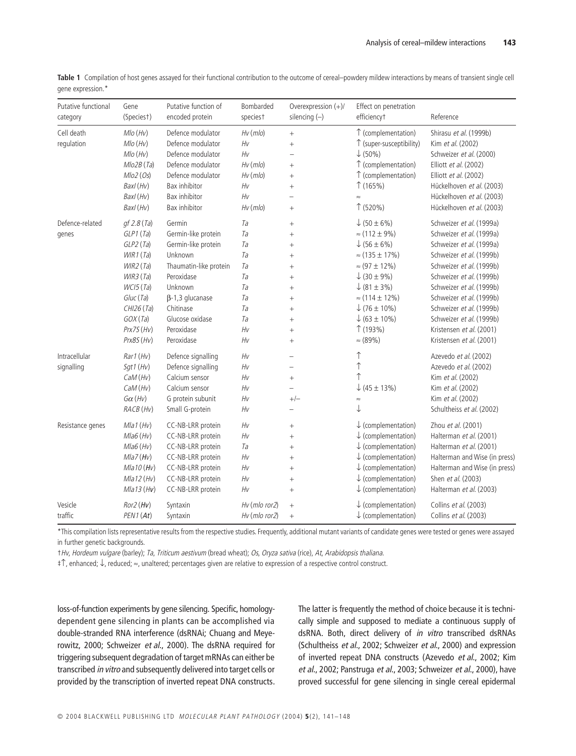| Putative functional<br>category | Gene<br>(Speciest) | Putative function of<br>encoded protein | Bombarded<br>species <sup>+</sup> | Overexpression (+)/<br>silencing $(-)$ | Effect on penetration<br>efficiencyt | Reference                     |
|---------------------------------|--------------------|-----------------------------------------|-----------------------------------|----------------------------------------|--------------------------------------|-------------------------------|
| Cell death                      | $Mlo$ (Hv)         | Defence modulator                       | $Hv$ ( $mlo$ )                    | $\qquad \qquad +$                      | ↑ (complementation)                  | Shirasu et al. (1999b)        |
| regulation                      | Mlo(Hv)            | Defence modulator                       | $H_V$                             | $\ddot{}$                              | ↑ (super-susceptibility)             | Kim et al. (2002)             |
|                                 | Mlo(Hv)            | Defence modulator                       | Hv                                |                                        | $\downarrow$ (50%)                   | Schweizer et al. (2000)       |
|                                 | Mlo2B(Ta)          | Defence modulator                       | $Hv$ ( $mlo$ )                    | $^{+}$                                 | ↑ (complementation)                  | Elliott et al. (2002)         |
|                                 | Mlo2 (Os)          | Defence modulator                       | $Hv$ ( $mlo$ )                    | $\ddot{}$                              | ↑ (complementation)                  | Elliott et al. (2002)         |
|                                 | Baxl (Hv)          | Bax inhibitor                           | Hv                                | $^{+}$                                 | $\uparrow$ (165%)                    | Hückelhoven et al. (2003)     |
|                                 | Baxl (Hv)          | Bax inhibitor                           | $H_V$                             | L.                                     | $\approx$                            | Hückelhoven et al. (2003)     |
|                                 | Baxl (Hv)          | Bax inhibitor                           | $Hv$ ( $mlo$ )                    |                                        | $\uparrow$ (520%)                    | Hückelhoven et al. (2003)     |
| Defence-related                 | gf 2.8 (Ta)        | Germin                                  | Ta                                |                                        | $\downarrow$ (50 ± 6%)               | Schweizer et al. (1999a)      |
| genes                           | GLP1(Ta)           | Germin-like protein                     | Ta                                | $\ddot{}$                              | $\approx$ (112 ± 9%)                 | Schweizer et al. (1999a)      |
|                                 | GLP2(Ta)           | Germin-like protein                     | Ta                                | $^{+}$                                 | $\downarrow$ (56 ± 6%)               | Schweizer et al. (1999a)      |
|                                 | WIR1(Ta)           | Unknown                                 | Ta                                | $^{+}$                                 | $\approx$ (135 ± 17%)                | Schweizer et al. (1999b)      |
|                                 | WIR2(Ta)           | Thaumatin-like protein                  | Ta                                | $^{+}$                                 | $\approx$ (97 ± 12%)                 | Schweizer et al. (1999b)      |
|                                 | WIR3(Ta)           | Peroxidase                              | Ta                                | $^{+}$                                 | $\downarrow$ (30 ± 9%)               | Schweizer et al. (1999b)      |
|                                 | WCI5(Ta)           | Unknown                                 | Ta                                | $^{+}$                                 | $\downarrow$ (81 ± 3%)               | Schweizer et al. (1999b)      |
|                                 | Gluc (Ta)          | $\beta$ -1,3 glucanase                  | Ta                                | $\ddot{}$                              | $\approx$ (114 ± 12%)                | Schweizer et al. (1999b)      |
|                                 | CHI26(Ta)          | Chitinase                               | Ta                                | $^{+}$                                 | $\downarrow$ (76 ± 10%)              | Schweizer et al. (1999b)      |
|                                 | GOX(Ta)            | Glucose oxidase                         | Ta                                | $\ddot{}$                              | $\downarrow$ (63 ± 10%)              | Schweizer et al. (1999b)      |
|                                 | Prx7S(Hv)          | Peroxidase                              | Hv                                | $^{+}$                                 | $\uparrow$ (193%)                    | Kristensen et al. (2001)      |
|                                 | Prx8S (Hv)         | Peroxidase                              | Hv                                | $^{+}$                                 | $\approx$ (89%)                      | Kristensen et al. (2001)      |
| Intracellular                   | Rar1(Hv)           | Defence signalling                      | Hv                                | $\overline{\phantom{0}}$               | ↑                                    | Azevedo et al. (2002)         |
| signalling                      | Sgt1 (Hv)          | Defence signalling                      | Hv                                | $\overline{a}$                         | ↑                                    | Azevedo et al. (2002)         |
|                                 | CaM(Hv)            | Calcium sensor                          | Hv                                | $^{+}$                                 | $\uparrow$                           | Kim et al. (2002)             |
|                                 | CaM(Hv)            | Calcium sensor                          | Hv                                | $\overline{\phantom{0}}$               | $\downarrow$ (45 ± 13%)              | Kim et al. (2002)             |
|                                 | $G\alpha$ (Hv)     | G protein subunit                       | Hv                                | $+/-$                                  | $\approx$                            | Kim et al. (2002)             |
|                                 | RACB (Hv)          | Small G-protein                         | Hv                                | $\overline{\phantom{0}}$               | $\downarrow$                         | Schultheiss et al. (2002)     |
| Resistance genes                | $Mla1$ (Hv)        | CC-NB-LRR protein                       | $H_V$                             | $^{+}$                                 | $\downarrow$ (complementation)       | Zhou et al. (2001)            |
|                                 | $Mla6$ (Hv)        | CC-NB-LRR protein                       | Hv                                | $^{+}$                                 | $\downarrow$ (complementation)       | Halterman et al. (2001)       |
|                                 | $Mla6$ (Hv)        | CC-NB-LRR protein                       | Ta                                | $^{+}$                                 | $\downarrow$ (complementation)       | Halterman et al. (2001)       |
|                                 | $Mla7$ (Hv)        | CC-NB-LRR protein                       | Hv                                | $+$                                    | $\downarrow$ (complementation)       | Halterman and Wise (in press) |
|                                 | Mla10(Hv)          | CC-NB-LRR protein                       | $H_V$                             | $^{+}$                                 | $\downarrow$ (complementation)       | Halterman and Wise (in press) |
|                                 | Mla12(Hv)          | CC-NB-LRR protein                       | Hv                                | $^{+}$                                 | $\downarrow$ (complementation)       | Shen et al. (2003)            |
|                                 | Mla13(Hv)          | CC-NB-LRR protein                       | $H_V$                             | $^{+}$                                 | $\downarrow$ (complementation)       | Halterman et al. (2003)       |
| Vesicle                         | $Ror2$ (Hv)        | Syntaxin                                | $Hv$ (mlo ror2)                   | $^{+}$                                 | $\downarrow$ (complementation)       | Collins et al. (2003)         |
| traffic                         | PEN1(At)           | Syntaxin                                | Hv (mlo ror2)                     | $^{+}$                                 | $\downarrow$ (complementation)       | Collins et al. (2003)         |

**Table 1** Compilation of host genes assayed for their functional contribution to the outcome of cereal–powdery mildew interactions by means of transient single cell gene expression.\*

\*This compilation lists representative results from the respective studies. Frequently, additional mutant variants of candidate genes were tested or genes were assayed in further genetic backgrounds.

†Hv, Hordeum vulgare (barley); Ta, Triticum aestivum (bread wheat); Os, Oryza sativa (rice), At, Arabidopsis thaliana.

‡↑, enhanced; ↓, reduced; ≈, unaltered; percentages given are relative to expression of a respective control construct.

loss-of-function experiments by gene silencing. Specific, homologydependent gene silencing in plants can be accomplished via double-stranded RNA interference (dsRNAi; Chuang and Meyerowitz, 2000; Schweizer et al., 2000). The dsRNA required for triggering subsequent degradation of target mRNAs can either be transcribed in vitro and subsequently delivered into target cells or provided by the transcription of inverted repeat DNA constructs.

The latter is frequently the method of choice because it is technically simple and supposed to mediate a continuous supply of dsRNA. Both, direct delivery of in vitro transcribed dsRNAs (Schultheiss et al., 2002; Schweizer et al., 2000) and expression of inverted repeat DNA constructs (Azevedo et al., 2002; Kim et al., 2002; Panstruga et al., 2003; Schweizer et al., 2000), have proved successful for gene silencing in single cereal epidermal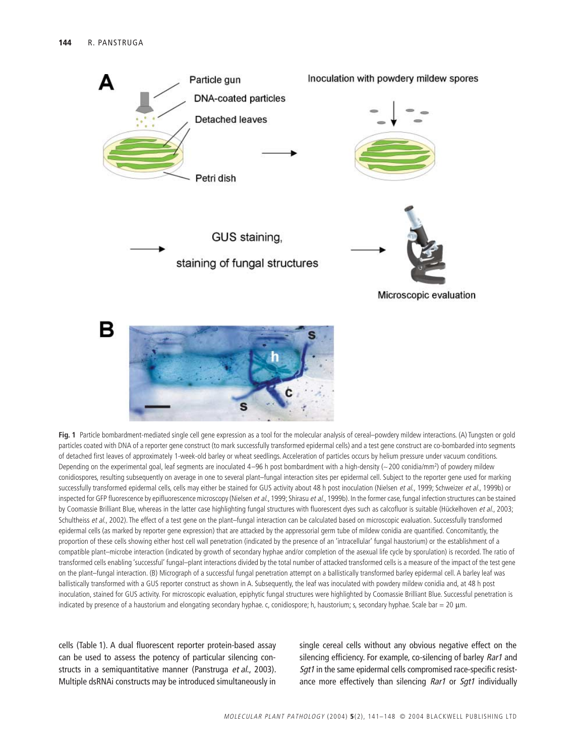

**Fig. 1** Particle bombardment-mediated single cell gene expression as a tool for the molecular analysis of cereal–powdery mildew interactions. (A) Tungsten or gold particles coated with DNA of a reporter gene construct (to mark successfully transformed epidermal cells) and a test gene construct are co-bombarded into segments of detached first leaves of approximately 1-week-old barley or wheat seedlings. Acceleration of particles occurs by helium pressure under vacuum conditions. Depending on the experimental goal, leaf segments are inoculated 4–96 h post bombardment with a high-density (~200 conidia/mm<sup>2</sup>) of powdery mildew conidiospores, resulting subsequently on average in one to several plant–fungal interaction sites per epidermal cell. Subject to the reporter gene used for marking successfully transformed epidermal cells, cells may either be stained for GUS activity about 48 h post inoculation (Nielsen et al., 1999; Schweizer et al., 1999b) or inspected for GFP fluorescence by epifluorescence microscopy (Nielsen et al., 1999; Shirasu et al., 1999b). In the former case, fungal infection structures can be stained by Coomassie Brilliant Blue, whereas in the latter case highlighting fungal structures with fluorescent dyes such as calcofluor is suitable (Hückelhoven et al., 2003; Schultheiss et al., 2002). The effect of a test gene on the plant–fungal interaction can be calculated based on microscopic evaluation. Successfully transformed epidermal cells (as marked by reporter gene expression) that are attacked by the appressorial germ tube of mildew conidia are quantified. Concomitantly, the proportion of these cells showing either host cell wall penetration (indicated by the presence of an 'intracellular' fungal haustorium) or the establishment of a compatible plant–microbe interaction (indicated by growth of secondary hyphae and/or completion of the asexual life cycle by sporulation) is recorded. The ratio of transformed cells enabling 'successful' fungal–plant interactions divided by the total number of attacked transformed cells is a measure of the impact of the test gene on the plant–fungal interaction. (B) Micrograph of a successful fungal penetration attempt on a ballistically transformed barley epidermal cell. A barley leaf was ballistically transformed with a GUS reporter construct as shown in A. Subsequently, the leaf was inoculated with powdery mildew conidia and, at 48 h post inoculation, stained for GUS activity. For microscopic evaluation, epiphytic fungal structures were highlighted by Coomassie Brilliant Blue. Successful penetration is indicated by presence of a haustorium and elongating secondary hyphae. c, conidiospore; h, haustorium; s, secondary hyphae. Scale bar = 20 µm.

cells (Table 1). A dual fluorescent reporter protein-based assay can be used to assess the potency of particular silencing constructs in a semiquantitative manner (Panstruga et al., 2003). Multiple dsRNAi constructs may be introduced simultaneously in

single cereal cells without any obvious negative effect on the silencing efficiency. For example, co-silencing of barley *Rar1* and Sqt1 in the same epidermal cells compromised race-specific resistance more effectively than silencing Rar1 or Sgt1 individually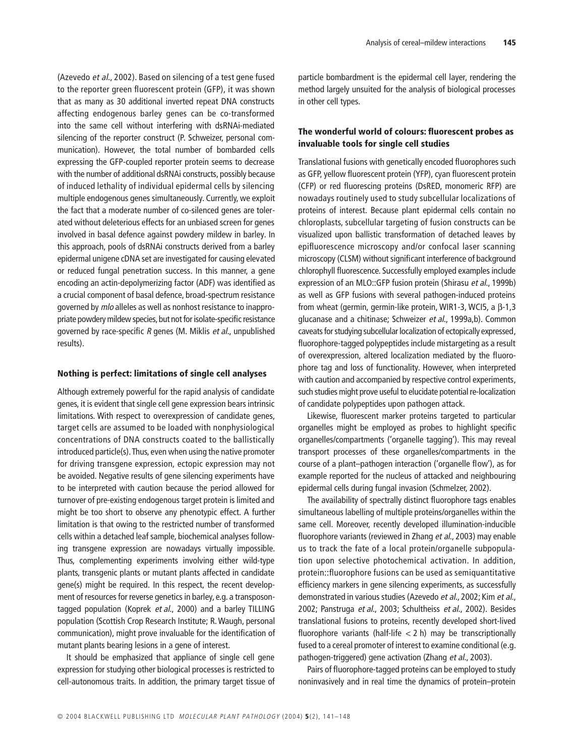(Azevedo et al., 2002). Based on silencing of a test gene fused to the reporter green fluorescent protein (GFP), it was shown that as many as 30 additional inverted repeat DNA constructs affecting endogenous barley genes can be co-transformed into the same cell without interfering with dsRNAi-mediated silencing of the reporter construct (P. Schweizer, personal communication). However, the total number of bombarded cells expressing the GFP-coupled reporter protein seems to decrease with the number of additional dsRNAi constructs, possibly because of induced lethality of individual epidermal cells by silencing multiple endogenous genes simultaneously. Currently, we exploit the fact that a moderate number of co-silenced genes are tolerated without deleterious effects for an unbiased screen for genes involved in basal defence against powdery mildew in barley. In this approach, pools of dsRNAi constructs derived from a barley epidermal unigene cDNA set are investigated for causing elevated or reduced fungal penetration success. In this manner, a gene encoding an actin-depolymerizing factor (ADF) was identified as a crucial component of basal defence, broad-spectrum resistance governed by mlo alleles as well as nonhost resistance to inappropriate powdery mildew species, but not for isolate-specific resistance governed by race-specific R genes (M. Miklis et al., unpublished results).

### **Nothing is perfect: limitations of single cell analyses**

Although extremely powerful for the rapid analysis of candidate genes, it is evident that single cell gene expression bears intrinsic limitations. With respect to overexpression of candidate genes, target cells are assumed to be loaded with nonphysiological concentrations of DNA constructs coated to the ballistically introduced particle(s). Thus, even when using the native promoter for driving transgene expression, ectopic expression may not be avoided. Negative results of gene silencing experiments have to be interpreted with caution because the period allowed for turnover of pre-existing endogenous target protein is limited and might be too short to observe any phenotypic effect. A further limitation is that owing to the restricted number of transformed cells within a detached leaf sample, biochemical analyses following transgene expression are nowadays virtually impossible. Thus, complementing experiments involving either wild-type plants, transgenic plants or mutant plants affected in candidate gene(s) might be required. In this respect, the recent development of resources for reverse genetics in barley, e.g. a transposontagged population (Koprek et al., 2000) and a barley TILLING population (Scottish Crop Research Institute; R. Waugh, personal communication), might prove invaluable for the identification of mutant plants bearing lesions in a gene of interest.

It should be emphasized that appliance of single cell gene expression for studying other biological processes is restricted to cell-autonomous traits. In addition, the primary target tissue of particle bombardment is the epidermal cell layer, rendering the method largely unsuited for the analysis of biological processes in other cell types.

## **The wonderful world of colours: fluorescent probes as invaluable tools for single cell studies**

Translational fusions with genetically encoded fluorophores such as GFP, yellow fluorescent protein (YFP), cyan fluorescent protein (CFP) or red fluorescing proteins (DsRED, monomeric RFP) are nowadays routinely used to study subcellular localizations of proteins of interest. Because plant epidermal cells contain no chloroplasts, subcellular targeting of fusion constructs can be visualized upon ballistic transformation of detached leaves by epifluorescence microscopy and/or confocal laser scanning microscopy (CLSM) without significant interference of background chlorophyll fluorescence. Successfully employed examples include expression of an MLO::GFP fusion protein (Shirasu et al., 1999b) as well as GFP fusions with several pathogen-induced proteins from wheat (germin, germin-like protein, WIR1-3, WCI5, a β-1,3 glucanase and a chitinase; Schweizer et al., 1999a,b). Common caveats for studying subcellular localization of ectopically expressed, fluorophore-tagged polypeptides include mistargeting as a result of overexpression, altered localization mediated by the fluorophore tag and loss of functionality. However, when interpreted with caution and accompanied by respective control experiments, such studies might prove useful to elucidate potential re-localization of candidate polypeptides upon pathogen attack.

Likewise, fluorescent marker proteins targeted to particular organelles might be employed as probes to highlight specific organelles/compartments ('organelle tagging'). This may reveal transport processes of these organelles/compartments in the course of a plant–pathogen interaction ('organelle flow'), as for example reported for the nucleus of attacked and neighbouring epidermal cells during fungal invasion (Schmelzer, 2002).

The availability of spectrally distinct fluorophore tags enables simultaneous labelling of multiple proteins/organelles within the same cell. Moreover, recently developed illumination-inducible fluorophore variants (reviewed in Zhang et al., 2003) may enable us to track the fate of a local protein/organelle subpopulation upon selective photochemical activation. In addition, protein::fluorophore fusions can be used as semiquantitative efficiency markers in gene silencing experiments, as successfully demonstrated in various studies (Azevedo et al., 2002; Kim et al., 2002; Panstruga et al., 2003; Schultheiss et al., 2002). Besides translational fusions to proteins, recently developed short-lived fluorophore variants (half-life  $<$  2 h) may be transcriptionally fused to a cereal promoter of interest to examine conditional (e.g. pathogen-triggered) gene activation (Zhang et al., 2003).

Pairs of fluorophore-tagged proteins can be employed to study noninvasively and in real time the dynamics of protein–protein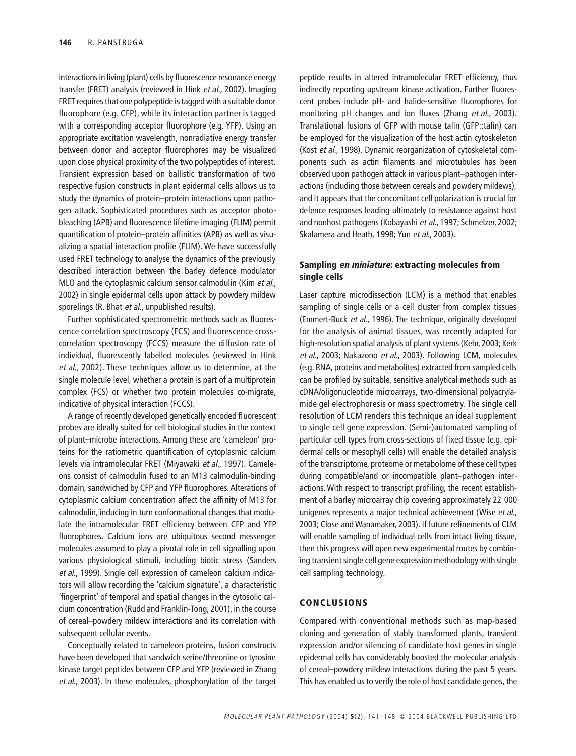interactions in living (plant) cells by fluorescence resonance energy transfer (FRET) analysis (reviewed in Hink et al., 2002). Imaging FRET requires that one polypeptide is tagged with a suitable donor fluorophore (e.g. CFP), while its interaction partner is tagged with a corresponding acceptor fluorophore (e.g. YFP). Using an appropriate excitation wavelength, nonradiative energy transfer between donor and acceptor fluorophores may be visualized upon close physical proximity of the two polypeptides of interest. Transient expression based on ballistic transformation of two respective fusion constructs in plant epidermal cells allows us to study the dynamics of protein–protein interactions upon pathogen attack. Sophisticated procedures such as acceptor photobleaching (APB) and fluorescence lifetime imaging (FLIM) permit quantification of protein–protein affinities (APB) as well as visualizing a spatial interaction profile (FLIM). We have successfully used FRET technology to analyse the dynamics of the previously described interaction between the barley defence modulator MLO and the cytoplasmic calcium sensor calmodulin (Kim et al., 2002) in single epidermal cells upon attack by powdery mildew sporelings (R. Bhat et al., unpublished results).

Further sophisticated spectrometric methods such as fluorescence correlation spectroscopy (FCS) and fluorescence crosscorrelation spectroscopy (FCCS) measure the diffusion rate of individual, fluorescently labelled molecules (reviewed in Hink et al., 2002). These techniques allow us to determine, at the single molecule level, whether a protein is part of a multiprotein complex (FCS) or whether two protein molecules co-migrate, indicative of physical interaction (FCCS).

A range of recently developed genetically encoded fluorescent probes are ideally suited for cell biological studies in the context of plant–microbe interactions. Among these are 'cameleon' proteins for the ratiometric quantification of cytoplasmic calcium levels via intramolecular FRET (Miyawaki et al., 1997). Cameleons consist of calmodulin fused to an M13 calmodulin-binding domain, sandwiched by CFP and YFP fluorophores. Alterations of cytoplasmic calcium concentration affect the affinity of M13 for calmodulin, inducing in turn conformational changes that modulate the intramolecular FRET efficiency between CFP and YFP fluorophores. Calcium ions are ubiquitous second messenger molecules assumed to play a pivotal role in cell signalling upon various physiological stimuli, including biotic stress (Sanders et al., 1999). Single cell expression of cameleon calcium indicators will allow recording the 'calcium signature', a characteristic 'fingerprint' of temporal and spatial changes in the cytosolic calcium concentration (Rudd and Franklin-Tong, 2001), in the course of cereal–powdery mildew interactions and its correlation with subsequent cellular events.

Conceptually related to cameleon proteins, fusion constructs have been developed that sandwich serine/threonine or tyrosine kinase target peptides between CFP and YFP (reviewed in Zhang et al., 2003). In these molecules, phosphorylation of the target peptide results in altered intramolecular FRET efficiency, thus indirectly reporting upstream kinase activation. Further fluorescent probes include pH- and halide-sensitive fluorophores for monitoring pH changes and ion fluxes (Zhang et al., 2003). Translational fusions of GFP with mouse talin (GFP::talin) can be employed for the visualization of the host actin cytoskeleton (Kost et al., 1998). Dynamic reorganization of cytoskeletal components such as actin filaments and microtubules has been observed upon pathogen attack in various plant–pathogen interactions (including those between cereals and powdery mildews), and it appears that the concomitant cell polarization is crucial for defence responses leading ultimately to resistance against host and nonhost pathogens (Kobayashi et al., 1997; Schmelzer, 2002; Skalamera and Heath, 1998; Yun et al., 2003).

## **Sampling en miniature: extracting molecules from single cells**

Laser capture microdissection (LCM) is a method that enables sampling of single cells or a cell cluster from complex tissues (Emmert-Buck et al., 1996). The technique, originally developed for the analysis of animal tissues, was recently adapted for high-resolution spatial analysis of plant systems (Kehr, 2003; Kerk et al., 2003; Nakazono et al., 2003). Following LCM, molecules (e.g. RNA, proteins and metabolites) extracted from sampled cells can be profiled by suitable, sensitive analytical methods such as cDNA/oligonucleotide microarrays, two-dimensional polyacrylamide gel electrophoresis or mass spectrometry. The single cell resolution of LCM renders this technique an ideal supplement to single cell gene expression. (Semi-)automated sampling of particular cell types from cross-sections of fixed tissue (e.g. epidermal cells or mesophyll cells) will enable the detailed analysis of the transcriptome, proteome or metabolome of these cell types during compatible/and or incompatible plant–pathogen interactions. With respect to transcript profiling, the recent establishment of a barley microarray chip covering approximately 22 000 unigenes represents a major technical achievement (Wise et al., 2003; Close and Wanamaker, 2003). If future refinements of CLM will enable sampling of individual cells from intact living tissue, then this progress will open new experimental routes by combining transient single cell gene expression methodology with single cell sampling technology.

## **CONCLUSIONS**

Compared with conventional methods such as map-based cloning and generation of stably transformed plants, transient expression and/or silencing of candidate host genes in single epidermal cells has considerably boosted the molecular analysis of cereal–powdery mildew interactions during the past 5 years. This has enabled us to verify the role of host candidate genes, the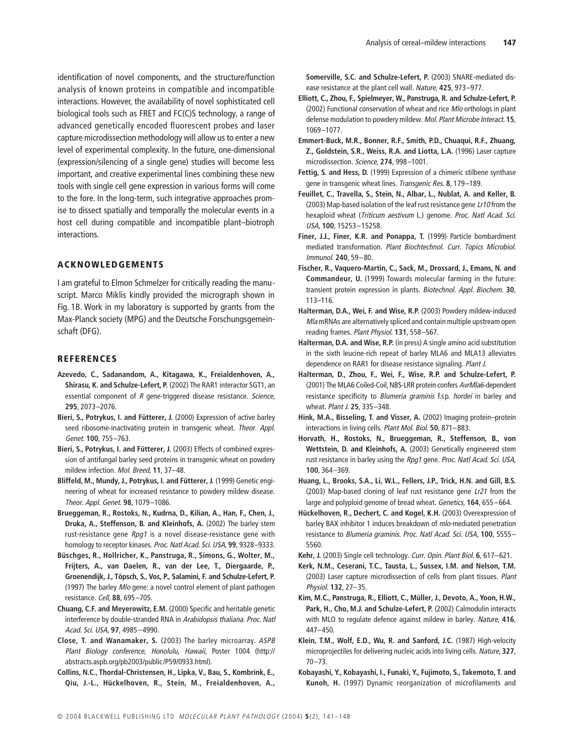identification of novel components, and the structure/function analysis of known proteins in compatible and incompatible interactions. However, the availability of novel sophisticated cell biological tools such as FRET and FC(C)S technology, a range of advanced genetically encoded fluorescent probes and laser capture microdissection methodology will allow us to enter a new level of experimental complexity. In the future, one-dimensional (expression/silencing of a single gene) studies will become less important, and creative experimental lines combining these new tools with single cell gene expression in various forms will come to the fore. In the long-term, such integrative approaches promise to dissect spatially and temporally the molecular events in a host cell during compatible and incompatible plant–biotroph interactions.

## **ACKNOWLEDGEMENTS**

I am grateful to Elmon Schmelzer for critically reading the manuscript. Marco Miklis kindly provided the micrograph shown in Fig. 1B. Work in my laboratory is supported by grants from the Max-Planck society (MPG) and the Deutsche Forschungsgemeinschaft (DFG).

#### **REFERENCES**

- **Azevedo, C., Sadanandom, A., Kitagawa, K., Freialdenhoven, A., Shirasu, K. and Schulze-Lefert, P.** (2002) The RAR1 interactor SGT1, an essential component of R gene-triggered disease resistance. Science, **295**, 2073–2076.
- **Bieri, S., Potrykus, I. and Fütterer, J.** (2000) Expression of active barley seed ribosome-inactivating protein in transgenic wheat. Theor. Appl. Genet. **100**, 755–763.
- **Bieri, S., Potrykus, I. and Fütterer, J.** (2003) Effects of combined expression of antifungal barley seed proteins in transgenic wheat on powdery mildew infection. Mol. Breed, **11**, 37–48.
- **Bliffeld, M., Mundy, J., Potrykus, I. and Fütterer, J.** (1999) Genetic engineering of wheat for increased resistance to powdery mildew disease. Theor. Appl. Genet. **98**, 1079–1086.
- **Brueggeman, R., Rostoks, N., Kudrna, D., Kilian, A., Han, F., Chen, J., Druka, A., Steffenson, B. and Kleinhofs, A.** (2002) The barley stem rust-resistance gene  $Rpq1$  is a novel disease-resistance gene with homology to receptor kinases. Proc. Natl Acad. Sci. USA, **99**, 9328–9333.
- **Büschges, R., Hollricher, K., Panstruga, R., Simons, G., Wolter, M., Frijters, A., van Daelen, R., van der Lee, T., Diergaarde, P., Groenendijk, J., Töpsch, S., Vos, P., Salamini, F. and Schulze-Lefert, P.** (1997) The barley Mlo gene: a novel control element of plant pathogen resistance. Cell, **88**, 695–705.
- **Chuang, C.F. and Meyerowitz, E.M.** (2000) Specific and heritable genetic interference by double-stranded RNA in Arabidopsis thaliana. Proc. Natl Acad. Sci. USA, **97**, 4985–4990.
- **Close, T. and Wanamaker, S.** (2003) The barley microarray. ASPB Plant Biology conference, Honolulu, Hawaii, Poster 1004 [\(http://](http://) abstracts.aspb.org/pb2003/public/P59/0933.html).
- **Collins, N.C., Thordal-Christensen, H., Lipka, V., Bau, S., Kombrink, E., Qiu, J.-L., Hückelhoven, R., Stein, M., Freialdenhoven, A.,**

**Somerville, S.C. and Schulze-Lefert, P.** (2003) SNARE-mediated disease resistance at the plant cell wall. Nature, **425**, 973–977.

- **Elliott, C., Zhou, F., Spielmeyer, W., Panstruga, R. and Schulze-Lefert, P.** (2002) Functional conservation of wheat and rice Mlo orthologs in plant defense modulation to powdery mildew. Mol. Plant Microbe Interact. **15**, 1069–1077.
- **Emmert-Buck, M.R., Bonner, R.F., Smith, P.D., Chuaqui, R.F., Zhuang, Z., Goldstein, S.R., Weiss, R.A. and Liotta, L.A.** (1996) Laser capture microdissection. Science, **274**, 998–1001.
- **Fettig, S. and Hess, D.** (1999) Expression of a chimeric stilbene synthase gene in transgenic wheat lines. Transgenic Res. **8**, 179–189.
- **Feuillet, C., Travella, S., Stein, N., Albar, L., Nublat, A. and Keller, B.** (2003) Map-based isolation of the leaf rust resistance gene Lr10 from the hexaploid wheat (Triticum aestivum L.) genome. Proc. Natl Acad. Sci. USA, **100**, 15253–15258.
- **Finer, J.J., Finer, K.R. and Ponappa, T.** (1999) Particle bombardment mediated transformation. Plant Biochtechnol. Curr. Topics Microbiol. Immunol. **240**, 59–80.
- **Fischer, R., Vaquero-Martin, C., Sack, M., Drossard, J., Emans, N. and Commandeur, U.** (1999) Towards molecular farming in the future: transient protein expression in plants. Biotechnol. Appl. Biochem. **30**, 113–116.
- **Halterman, D.A., Wei, F. and Wise, R.P.** (2003) Powdery mildew-induced Mla mRNAs are alternatively spliced and contain multiple upstream open reading frames. Plant Physiol. **131**, 558–567.
- **Halterman, D.A. and Wise, R.P.** (in press) A single amino acid substitution in the sixth leucine-rich repeat of barley MLA6 and MLA13 alleviates dependence on RAR1 for disease resistance signaling. Plant J.
- **Halterman, D., Zhou, F., Wei, F., Wise, R.P. and Schulze-Lefert, P.** (2001) The MLA6 Coiled-Coil, NBS-LRR protein confers AvrMla6-dependent resistance specificity to *Blumeria graminis* f.sp. hordei in barley and wheat. Plant J. **25**, 335–348.
- **Hink, M.A., Bisseling, T. and Visser, A.** (2002) Imaging protein–protein interactions in living cells. Plant Mol. Biol. **50**, 871–883.
- **Horvath, H., Rostoks, N., Brueggeman, R., Steffenson, B., von Wettstein, D. and Kleinhofs, A.** (2003) Genetically engineered stem rust resistance in barley using the Rpg1 gene. Proc. Natl Acad. Sci. USA, **100**, 364–369.
- **Huang, L., Brooks, S.A., Li, W.L., Fellers, J.P., Trick, H.N. and Gill, B.S.** (2003) Map-based cloning of leaf rust resistance gene Lr21 from the large and polyploid genome of bread wheat. Genetics, **164**, 655–664.
- **Hückelhoven, R., Dechert, C. and Kogel, K.H.** (2003) Overexpression of barley BAX inhibitor 1 induces breakdown of mlo-mediated penetration resistance to Blumeria graminis. Proc. Natl Acad. Sci. USA, **100**, 5555– 5560.
- **Kehr, J.** (2003) Single cell technology. Curr. Opin. Plant Biol. **6**, 617–621.
- **Kerk, N.M., Ceserani, T.C., Tausta, L., Sussex, I.M. and Nelson, T.M.** (2003) Laser capture microdissection of cells from plant tissues. Plant Physiol. **132**, 27–35.
- **Kim, M.C., Panstruga, R., Elliott, C., Müller, J., Devoto, A., Yoon, H.W., Park, H., Cho, M.J. and Schulze-Lefert, P.** (2002) Calmodulin interacts with MLO to regulate defence against mildew in barley. Nature, **416**, 447–450.
- **Klein, T.M., Wolf, E.D., Wu, R. and Sanford, J.C.** (1987) High-velocity microprojectiles for delivering nucleic acids into living cells. Nature, **327**, 70–73.
- **Kobayashi, Y., Kobayashi, I., Funaki, Y., Fujimoto, S., Takemoto, T. and Kunoh, H.** (1997) Dynamic reorganization of microfilaments and